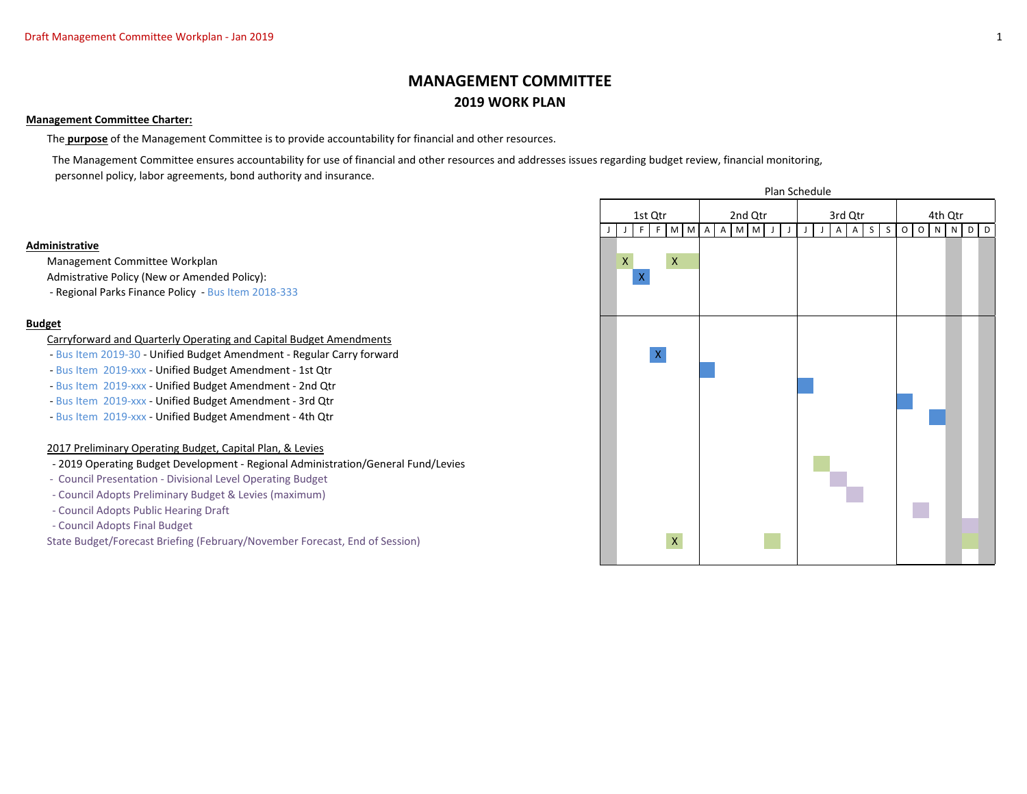# **MANAGEMENT COMMITTEE 2019 WORK PLAN**

#### **Management Committee Charter:**

The **purpose** of the Management Committee is to provide accountability for financial and other resources.

 The Management Committee ensures accountability for use of financial and other resources and addresses issues regarding budget review, financial monitoring, personnel policy, labor agreements, bond authority and insurance.

#### **Administrative**

Management Committee Workplan X X

Admistrative Policy (New or Amended Policy):

- Regional Parks Finance Policy - Bus Item 2018-333

### **Budget**

#### Carryforward and Quarterly Operating and Capital Budget Amendments

- Bus Item 2019-30 Unified Budget Amendment Regular Carry forward X
- Bus Item 2019-xxx Unified Budget Amendment 1st Qtr
- Bus Item 2019-xxx Unified Budget Amendment 2nd Qtr
- Bus Item 2019-xxx Unified Budget Amendment 3rd Qtr
- Bus Item 2019-xxx Unified Budget Amendment 4th Qtr

### 2017 Preliminary Operating Budget, Capital Plan, & Levies

- 2019 Operating Budget Development Regional Administration/General Fund/Levies
- Council Presentation Divisional Level Operating Budget
- Council Adopts Preliminary Budget & Levies (maximum)
- Council Adopts Public Hearing Draft
- Council Adopts Final Budget

State Budget/Forecast Briefing (February/November Forecast, End of Session) X X

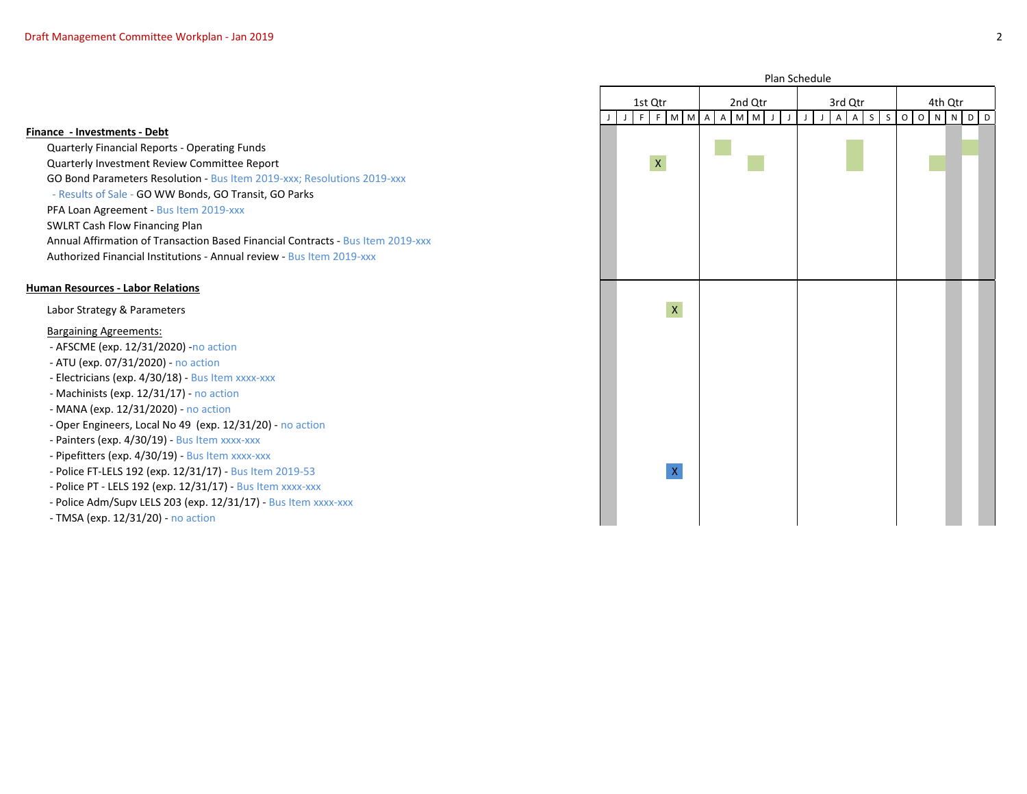| Plan Schedule      |   |   |                    |                    |         |             |   |   |   |             |             |             |             |             |             |              |         |                |                     |   |                         |   |   |
|--------------------|---|---|--------------------|--------------------|---------|-------------|---|---|---|-------------|-------------|-------------|-------------|-------------|-------------|--------------|---------|----------------|---------------------|---|-------------------------|---|---|
| $1st$ $\mbox{Qtr}$ |   |   |                    |                    |         | 2nd Qtr     |   |   |   |             |             | 3rd Qtr     |             |             |             |              |         | 4th Qtr        |                     |   |                         |   |   |
| J                  | J | F | $\overline{F}$     | ${\sf M}$          | $\sf M$ | $\mathsf A$ | A | M | M | $\mathsf J$ | $\mathsf J$ | $\mathsf J$ | $\mathsf J$ | $\mathsf A$ | $\mathsf A$ | $\mathsf{S}$ | $\sf S$ | $\overline{0}$ | $\mathsf{O}\xspace$ | N | $\overline{\mathsf{N}}$ | D | D |
|                    |   |   |                    |                    |         |             |   |   |   |             |             |             |             |             |             |              |         |                |                     |   |                         |   |   |
|                    |   |   | $\pmb{\mathsf{X}}$ |                    |         |             |   |   |   |             |             |             |             |             |             |              |         |                |                     |   |                         |   |   |
|                    |   |   |                    |                    |         |             |   |   |   |             |             |             |             |             |             |              |         |                |                     |   |                         |   |   |
|                    |   |   |                    |                    |         |             |   |   |   |             |             |             |             |             |             |              |         |                |                     |   |                         |   |   |
|                    |   |   |                    |                    |         |             |   |   |   |             |             |             |             |             |             |              |         |                |                     |   |                         |   |   |
|                    |   |   |                    |                    |         |             |   |   |   |             |             |             |             |             |             |              |         |                |                     |   |                         |   |   |
|                    |   |   |                    |                    |         |             |   |   |   |             |             |             |             |             |             |              |         |                |                     |   |                         |   |   |
|                    |   |   |                    |                    |         |             |   |   |   |             |             |             |             |             |             |              |         |                |                     |   |                         |   |   |
|                    |   |   |                    | $\bar{\mathbf{X}}$ |         |             |   |   |   |             |             |             |             |             |             |              |         |                |                     |   |                         |   |   |
|                    |   |   |                    |                    |         |             |   |   |   |             |             |             |             |             |             |              |         |                |                     |   |                         |   |   |
|                    |   |   |                    |                    |         |             |   |   |   |             |             |             |             |             |             |              |         |                |                     |   |                         |   |   |
|                    |   |   |                    |                    |         |             |   |   |   |             |             |             |             |             |             |              |         |                |                     |   |                         |   |   |
|                    |   |   |                    |                    |         |             |   |   |   |             |             |             |             |             |             |              |         |                |                     |   |                         |   |   |
|                    |   |   |                    |                    |         |             |   |   |   |             |             |             |             |             |             |              |         |                |                     |   |                         |   |   |
|                    |   |   |                    |                    |         |             |   |   |   |             |             |             |             |             |             |              |         |                |                     |   |                         |   |   |
|                    |   |   |                    |                    |         |             |   |   |   |             |             |             |             |             |             |              |         |                |                     |   |                         |   |   |
|                    |   |   |                    | $\mathsf{X}$       |         |             |   |   |   |             |             |             |             |             |             |              |         |                |                     |   |                         |   |   |
|                    |   |   |                    |                    |         |             |   |   |   |             |             |             |             |             |             |              |         |                |                     |   |                         |   |   |
|                    |   |   |                    |                    |         |             |   |   |   |             |             |             |             |             |             |              |         |                |                     |   |                         |   |   |

#### **Finance - Investments - Debt**

Quarterly Financial Reports - Operating Funds Quarterly Investment Review Committee Report X GO Bond Parameters Resolution - Bus Item 2019-xxx; Resolutions 2019-xxx - Results of Sale - GO WW Bonds, GO Transit, GO Parks PFA Loan Agreement - Bus Item 2019-xxx SWLRT Cash Flow Financing Plan Annual Affirmation of Transaction Based Financial Contracts - Bus Item 2019-xxx Authorized Financial Institutions - Annual review - Bus Item 2019-xxx

#### **Human Resources - Labor Relations**

Labor Strategy & Parameters

#### Bargaining Agreements:

- AFSCME (exp. 12/31/2020) -no action
- ATU (exp. 07/31/2020) no action
- Electricians (exp. 4/30/18) Bus Item xxxx-xxx
- Machinists (exp. 12/31/17) no action
- MANA (exp. 12/31/2020) no action
- Oper Engineers, Local No 49 (exp. 12/31/20) no action
- Painters (exp. 4/30/19) Bus Item xxxx-xxx
- Pipefitters (exp. 4/30/19) Bus Item xxxx-xxx
- Police FT-LELS 192 (exp. 12/31/17) Bus Item 2019-53 X
- Police PT LELS 192 (exp. 12/31/17) Bus Item xxxx-xxx
- Police Adm/Supv LELS 203 (exp. 12/31/17) Bus Item xxxx-xxx
- TMSA (exp. 12/31/20) no action